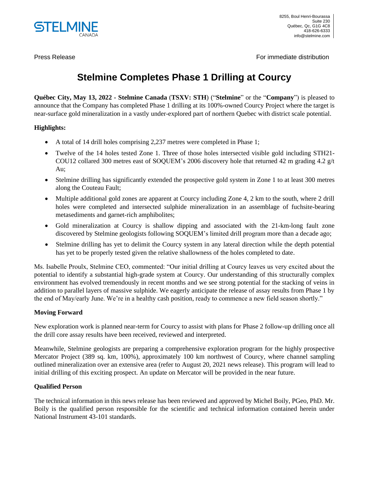

Press Release For immediate distribution  $\Gamma$ 

# **Stelmine Completes Phase 1 Drilling at Courcy**

**Québec City, May 13, 2022 - Stelmine Canada** (**TSXV: STH**) ("**Stelmine**" or the "**Company**") is pleased to announce that the Company has completed Phase 1 drilling at its 100%-owned Courcy Project where the target is near-surface gold mineralization in a vastly under-explored part of northern Quebec with district scale potential.

# **Highlights:**

- A total of 14 drill holes comprising 2,237 metres were completed in Phase 1;
- Twelve of the 14 holes tested Zone 1. Three of those holes intersected visible gold including STH21- COU12 collared 300 metres east of SOQUEM's 2006 discovery hole that returned 42 m grading 4.2 g/t Au;
- Stelmine drilling has significantly extended the prospective gold system in Zone 1 to at least 300 metres along the Couteau Fault;
- Multiple additional gold zones are apparent at Courcy including Zone 4, 2 km to the south, where 2 drill holes were completed and intersected sulphide mineralization in an assemblage of fuchsite-bearing metasediments and garnet-rich amphibolites;
- Gold mineralization at Courcy is shallow dipping and associated with the 21-km-long fault zone discovered by Stelmine geologists following SOQUEM's limited drill program more than a decade ago;
- Stelmine drilling has yet to delimit the Courcy system in any lateral direction while the depth potential has yet to be properly tested given the relative shallowness of the holes completed to date.

Ms. Isabelle Proulx, Stelmine CEO, commented: "Our initial drilling at Courcy leaves us very excited about the potential to identify a substantial high-grade system at Courcy. Our understanding of this structurally complex environment has evolved tremendously in recent months and we see strong potential for the stacking of veins in addition to parallel layers of massive sulphide. We eagerly anticipate the release of assay results from Phase 1 by the end of May/early June. We're in a healthy cash position, ready to commence a new field season shortly."

# **Moving Forward**

New exploration work is planned near-term for Courcy to assist with plans for Phase 2 follow-up drilling once all the drill core assay results have been received, reviewed and interpreted.

Meanwhile, Stelmine geologists are preparing a comprehensive exploration program for the highly prospective Mercator Project (389 sq. km, 100%), approximately 100 km northwest of Courcy, where channel sampling outlined mineralization over an extensive area (refer to August 20, 2021 news release). This program will lead to initial drilling of this exciting prospect. An update on Mercator will be provided in the near future.

# **Qualified Person**

The technical information in this news release has been reviewed and approved by Michel Boily, PGeo, PhD. Mr. Boily is the qualified person responsible for the scientific and technical information contained herein under National Instrument 43-101 standards.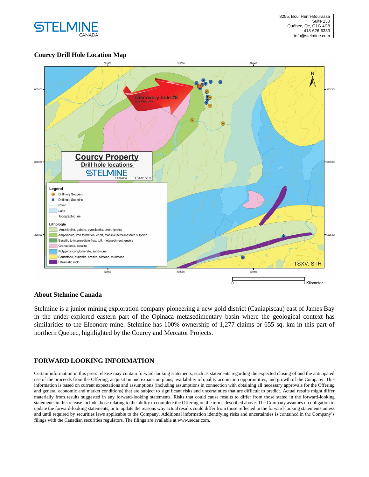

## **Courcy Drill Hole Location Map**



#### **About Stelmine Canada**

Stelmine is a junior mining exploration company pioneering a new gold district (Caniapiscau) east of James Bay in the under-explored eastern part of the Opinaca metasedimentary basin where the geological context has similarities to the Eleonore mine. Stelmine has 100% ownership of 1,277 claims or 655 sq. km in this part of northern Quebec, highlighted by the Courcy and Mercator Projects.

## **FORWARD LOOKING INFORMATION**

Certain information in this press release may contain forward-looking statements, such as statements regarding the expected closing of and the anticipated use of the proceeds from the Offering, acquisition and expansion plans, availability of quality acquisition opportunities, and growth of the Company. This information is based on current expectations and assumptions (including assumptions in connection with obtaining all necessary approvals for the Offering and general economic and market conditions) that are subject to significant risks and uncertainties that are difficult to predict. Actual results might differ materially from results suggested in any forward-looking statements. Risks that could cause results to differ from those stated in the forward-looking statements in this release include those relating to the ability to complete the Offering on the terms described above. The Company assumes no obligation to update the forward-looking statements, or to update the reasons why actual results could differ from those reflected in the forward-looking statements unless and until required by securities laws applicable to the Company. Additional information identifying risks and uncertainties is contained in the Company's filings with the Canadian securities regulators. The filings are available at www.sedar.com.